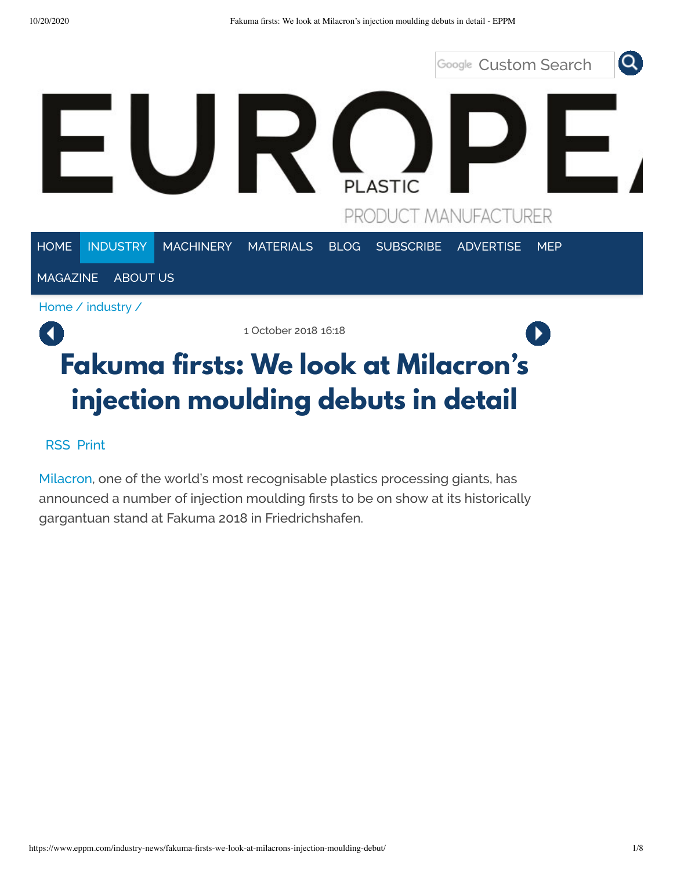

# **Fakuma firsts: We look at Milacron's injection moulding debuts in detail**

[RSS](https://www.eppm.com/industry-news/index.rss) Print

[Milacron,](http://www.milacron.com/) one of the world's most recognisable plastics processing giants, has announced a number of injection moulding firsts to be on show at its historically gargantuan stand at Fakuma 2018 in Friedrichshafen.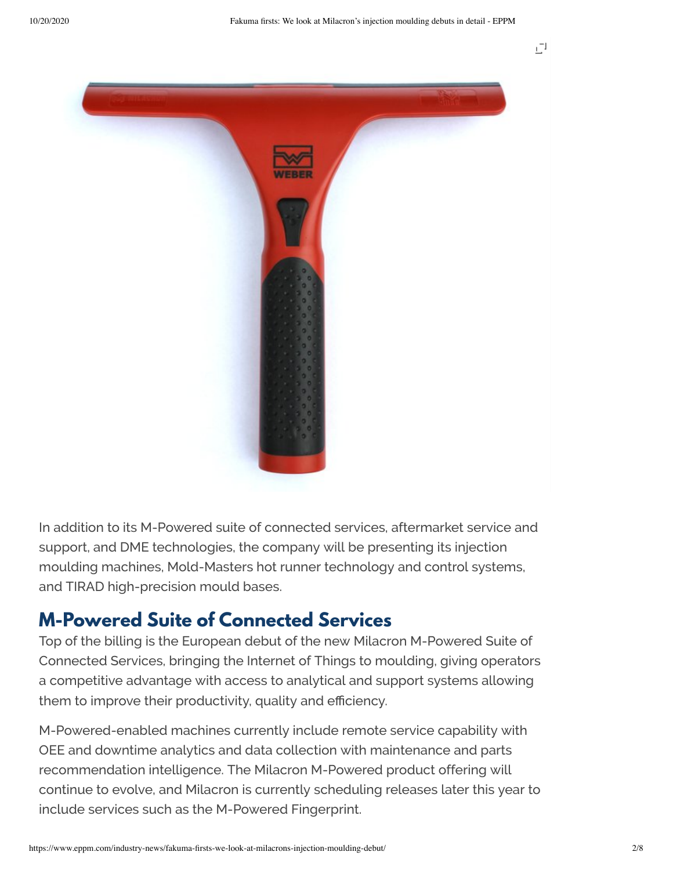

In addition to its M-Powered suite of connected services, aftermarket service and support, and DME technologies, the company will be presenting its injection moulding machines, Mold-Masters hot runner technology and control systems, and TIRAD high-precision mould bases.

#### **M-Powered Suite of Connected Services**

Top of the billing is the European debut of the new Milacron M-Powered Suite of Connected Services, bringing the Internet of Things to moulding, giving operators a competitive advantage with access to analytical and support systems allowing them to improve their productivity, quality and efficiency.

M-Powered-enabled machines currently include remote service capability with OEE and downtime analytics and data collection with maintenance and parts recommendation intelligence. The Milacron M-Powered product offering will continue to evolve, and Milacron is currently scheduling releases later this year to include services such as the M-Powered Fingerprint.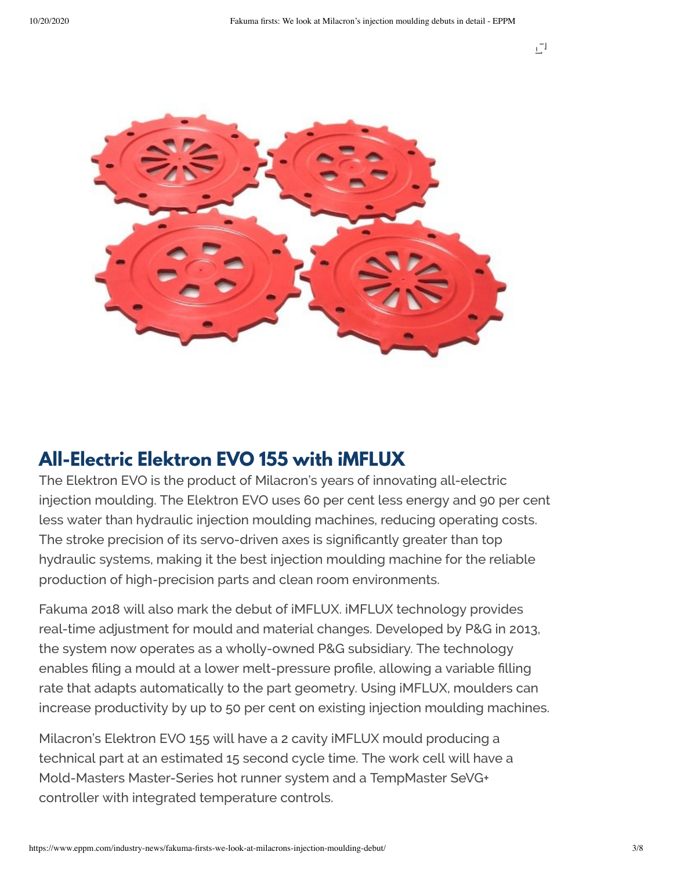

## **All-Electric Elektron EVO 155 with iMFLUX**

The Elektron EVO is the product of Milacron's years of innovating all-electric injection moulding. The Elektron EVO uses 60 per cent less energy and 90 per cent less water than hydraulic injection moulding machines, reducing operating costs. The stroke precision of its servo-driven axes is significantly greater than top hydraulic systems, making it the best injection moulding machine for the reliable production of high-precision parts and clean room environments.

Fakuma 2018 will also mark the debut of iMFLUX. iMFLUX technology provides real-time adjustment for mould and material changes. Developed by P&G in 2013, the system now operates as a wholly-owned P&G subsidiary. The technology enables filing a mould at a lower melt-pressure profile, allowing a variable filling rate that adapts automatically to the part geometry. Using iMFLUX, moulders can increase productivity by up to 50 per cent on existing injection moulding machines.

Milacron's Elektron EVO 155 will have a 2 cavity iMFLUX mould producing a technical part at an estimated 15 second cycle time. The work cell will have a Mold-Masters Master-Series hot runner system and a TempMaster SeVG+ controller with integrated temperature controls.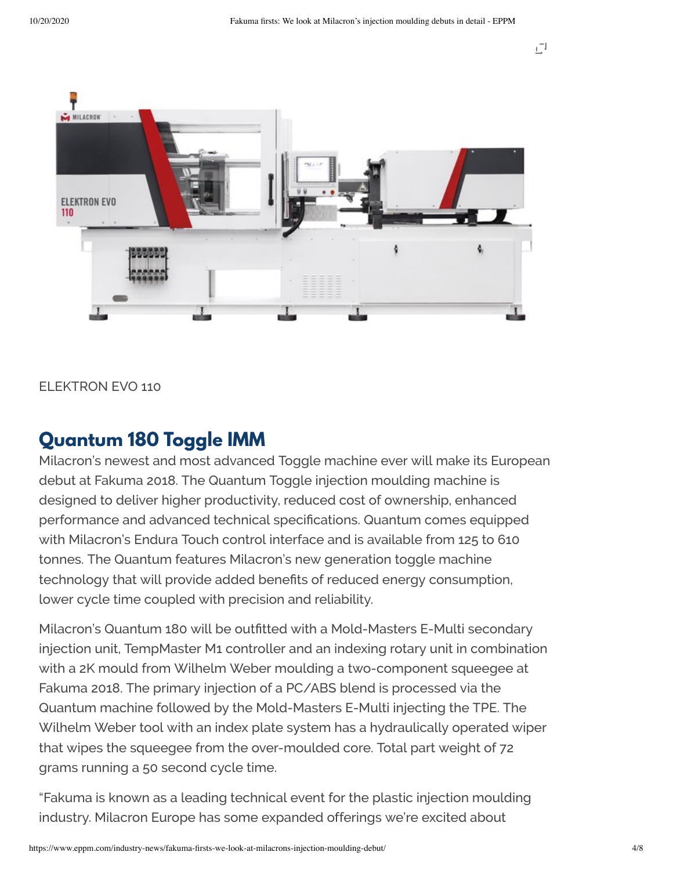

ELEKTRON EVO 110

### **Quantum 180 Toggle IMM**

Milacron's newest and most advanced Toggle machine ever will make its European debut at Fakuma 2018. The Quantum Toggle injection moulding machine is designed to deliver higher productivity, reduced cost of ownership, enhanced performance and advanced technical specifications. Quantum comes equipped with Milacron's Endura Touch control interface and is available from 125 to 610 tonnes. The Quantum features Milacron's new generation toggle machine technology that will provide added benefits of reduced energy consumption, lower cycle time coupled with precision and reliability.

Milacron's Quantum 180 will be outfitted with a Mold-Masters E-Multi secondary injection unit, TempMaster M1 controller and an indexing rotary unit in combination with a 2K mould from Wilhelm Weber moulding a two-component squeegee at Fakuma 2018. The primary injection of a PC/ABS blend is processed via the Quantum machine followed by the Mold-Masters E-Multi injecting the TPE. The Wilhelm Weber tool with an index plate system has a hydraulically operated wiper that wipes the squeegee from the over-moulded core. Total part weight of 72 grams running a 50 second cycle time.

"Fakuma is known as a leading technical event for the plastic injection moulding industry. Milacron Europe has some expanded offerings we're excited about